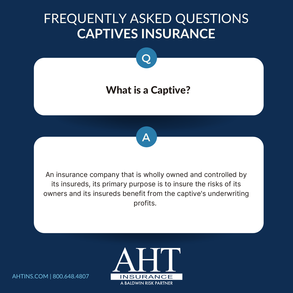### FREQUENTLY ASKED QUESTIONS **CAPTIVES INSURANCE**



An insurance company that is wholly owned and controlled by its insureds, its primary purpose is to insure the risks of its owners and its insureds benefit from the captive's underwriting profits.

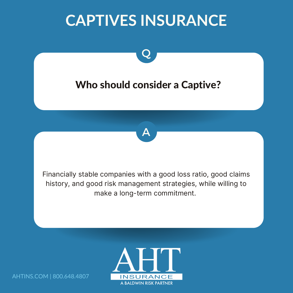

make a long-term commitment.

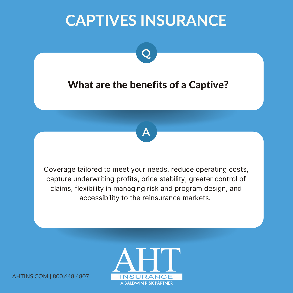

Q



Coverage tailored to meet your needs, reduce operating costs, capture underwriting profits, price stability, greater control of claims, flexibility in managing risk and program design, and accessibility to the reinsurance markets.

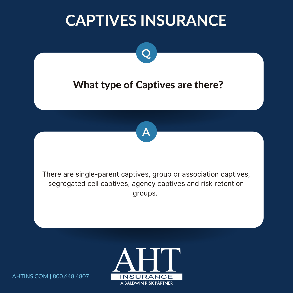

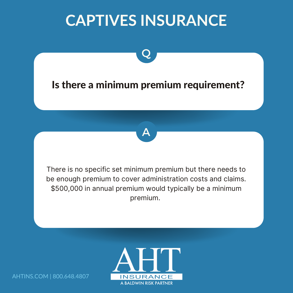

Q



There is no specific set minimum premium but there needs to be enough premium to cover administration costs and claims. \$500,000 in annual premium would typically be a minimum premium.

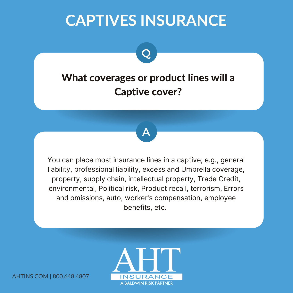### What coverages or product lines will a Captive cover?

Q



You can place most insurance lines in a captive, e.g., general liability, professional liability, excess and Umbrella coverage, property, supply chain, intellectual property, Trade Credit, environmental, Political risk, Product recall, terrorism, Errors and omissions, auto, worker's compensation, employee benefits, etc.

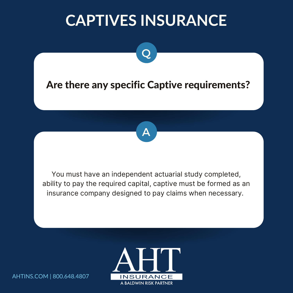#### Are there any specific Captive requirements?

Q



You must have an independent actuarial study completed, ability to pay the required capital, captive must be formed as an insurance company designed to pay claims when necessary.

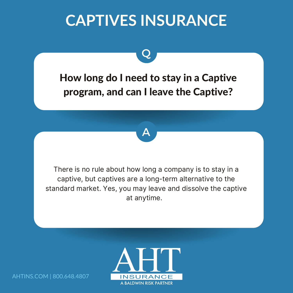### How long do I need to stay in a Captive program, and can I leave the Captive?

Q



There is no rule about how long a company is to stay in a captive, but captives are a long-term alternative to the standard market. Yes, you may leave and dissolve the captive at anytime.

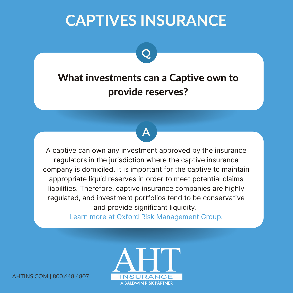### What investments can a Captive own to provide reserves?

A

Q

A captive can own any investment approved by the insurance regulators in the jurisdiction where the captive insurance company is domiciled. It is important for the captive to maintain appropriate liquid reserves in order to meet potential claims liabilities. Therefore, captive insurance companies are highly regulated, and investment portfolios tend to be conservative and provide significant liquidity.

Learn more at Oxford Risk [Management](https://www.oxfordrmg.com/plan-for-the-unexpected/frequently-asked-questions/) Group.

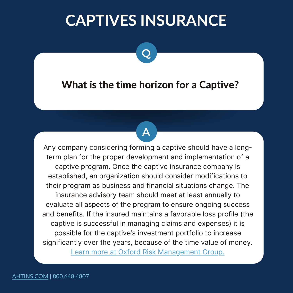Q

#### What is the time horizon for a Captive?

A

Any company considering forming a captive should have a longterm plan for the proper development and implementation of a captive program. Once the captive insurance company is established, an organization should consider modifications to their program as business and financial situations change. The insurance advisory team should meet at least annually to evaluate all aspects of the program to ensure ongoing success and benefits. If the insured maintains a favorable loss profile (the captive is successful in managing claims and expenses) it is possible for the captive's investment portfolio to increase significantly over the years, because of the time value of money.

Learn more at Oxford Risk [Management](https://www.oxfordrmg.com/plan-for-the-unexpected/frequently-asked-questions/) Group.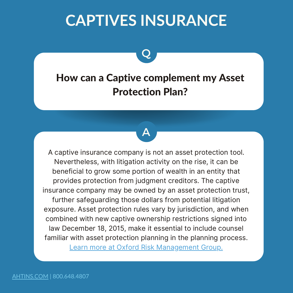Q

How can a Captive complement my Asset Protection Plan?

A

A captive insurance company is not an asset protection tool. Nevertheless, with litigation activity on the rise, it can be beneficial to grow some portion of wealth in an entity that provides protection from judgment creditors. The captive insurance company may be owned by an asset protection trust, further safeguarding those dollars from potential litigation exposure. Asset protection rules vary by jurisdiction, and when combined with new captive ownership restrictions signed into law December 18, 2015, make it essential to include counsel familiar with asset protection planning in the planning process. Learn more at Oxford Risk [Management](https://www.oxfordrmg.com/plan-for-the-unexpected/frequently-asked-questions/) Group.